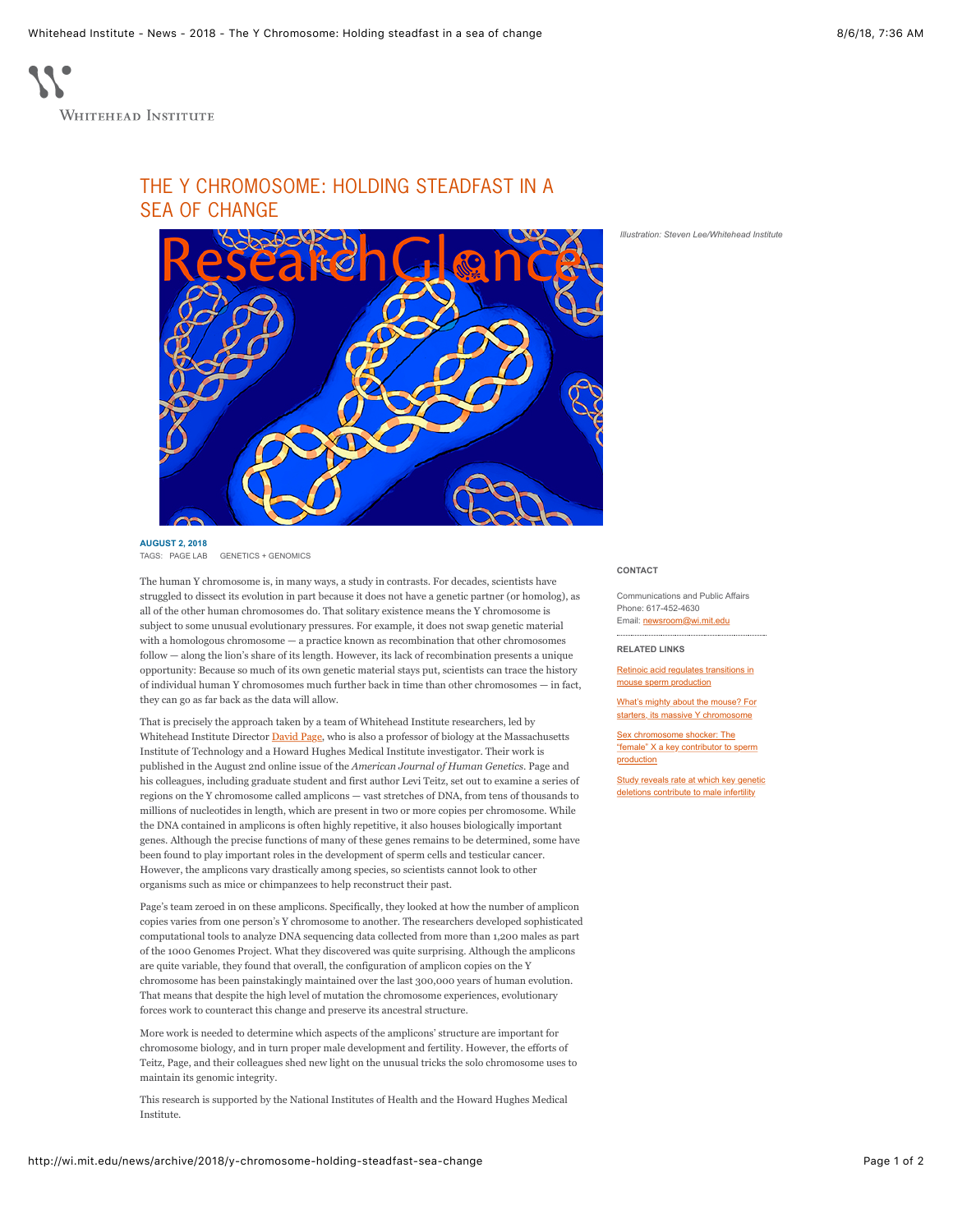

Whitehead Institute

## THE Y CHROMOSOME: HOLDING STEADFAST IN A SEA OF CHANGF



## **AUGUST 2, 2018**

[GENETICS + GENOMICS](http://wi.mit.edu/news/tag/topic/genetics-genomics)

The human Y chromosome is, in many ways, a study in contrasts. For decades, scientists have struggled to dissect its evolution in part because it does not have a genetic partner (or homolog), as all of the other human chromosomes do. That solitary existence means the Y chromosome is subject to some unusual evolutionary pressures. For example, it does not swap genetic material with a homologous chromosome — a practice known as recombination that other chromosomes follow — along the lion's share of its length. However, its lack of recombination presents a unique opportunity: Because so much of its own genetic material stays put, scientists can trace the history of individual human Y chromosomes much further back in time than other chromosomes — in fact, they can go as far back as the data will allow.

That is precisely the approach taken by a team of Whitehead Institute researchers, led by Whitehead Institute Director [David Page,](http://wi.mit.edu/people/faculty/page) who is also a professor of biology at the Massachusetts Institute of Technology and a Howard Hughes Medical Institute investigator. Their work is published in the August 2nd online issue of the *American Journal of Human Genetics*. Page and his colleagues, including graduate student and first author Levi Teitz, set out to examine a series of regions on the Y chromosome called amplicons — vast stretches of DNA, from tens of thousands to millions of nucleotides in length, which are present in two or more copies per chromosome. While the DNA contained in amplicons is often highly repetitive, it also houses biologically important genes. Although the precise functions of many of these genes remains to be determined, some have been found to play important roles in the development of sperm cells and testicular cancer. However, the amplicons vary drastically among species, so scientists cannot look to other organisms such as mice or chimpanzees to help reconstruct their past.

Page's team zeroed in on these amplicons. Specifically, they looked at how the number of amplicon copies varies from one person's Y chromosome to another. The researchers developed sophisticated computational tools to analyze DNA sequencing data collected from more than 1,200 males as part of the 1000 Genomes Project. What they discovered was quite surprising. Although the amplicons are quite variable, they found that overall, the configuration of amplicon copies on the Y chromosome has been painstakingly maintained over the last 300,000 years of human evolution. That means that despite the high level of mutation the chromosome experiences, evolutionary forces work to counteract this change and preserve its ancestral structure.

More work is needed to determine which aspects of the amplicons' structure are important for chromosome biology, and in turn proper male development and fertility. However, the efforts of Teitz, Page, and their colleagues shed new light on the unusual tricks the solo chromosome uses to maintain its genomic integrity.

This research is supported by the National Institutes of Health and the Howard Hughes Medical Institute.

## *Illustration: Steven Lee/Whitehead Institute*

**CONTACT**

Communications and Public Affairs Phone: 617-452-4630 Email: [newsroom@wi.mit.edu](mailto:newsroom@wi.mit.edu)

**RELATED LINKS**

[Retinoic acid regulates transitions in](http://wi.mit.edu/news/archive/2017/retinoic-acid-regulates-transitions-mouse-sperm-production) mouse sperm production

[What's mighty about the mouse? For](http://wi.mit.edu/news/archive/2014/what-s-mighty-about-mouse-starters-its-massive-y-chromosome) starters, its massive Y chromosome

Sex chromosome shocker: The ["female" X a key contributor to sperm](http://wi.mit.edu/news/archive/2013/sex-chromosome-shocker-female-x-key-contributor-sperm-production) production

[Study reveals rate at which key genetic](http://wi.mit.edu/news/archive/2012/study-reveals-rate-which-key-genetic-deletions-contribute-male-infertility) deletions contribute to male infertility